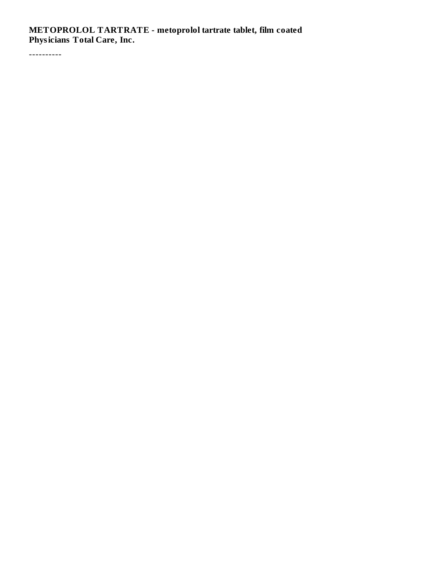**METOPROLOL TARTRATE - metoprolol tartrate tablet, film coated Physicians Total Care, Inc.**

----------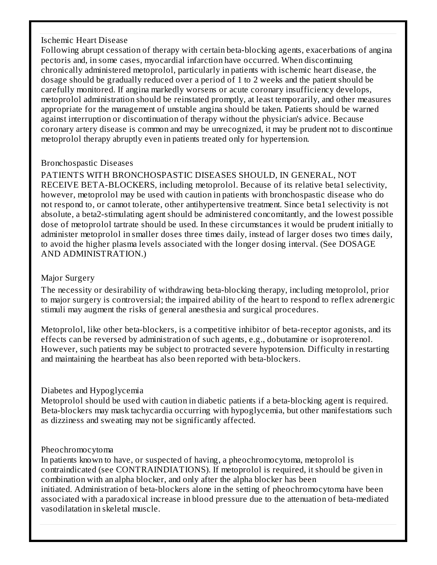## Ischemic Heart Disease

Following abrupt cessation of therapy with certain beta-blocking agents, exacerbations of angina pectoris and, in some cases, myocardial infarction have occurred. When discontinuing chronically administered metoprolol, particularly in patients with ischemic heart disease, the dosage should be gradually reduced over a period of 1 to 2 weeks and the patient should be carefully monitored. If angina markedly worsens or acute coronary insufficiency develops, metoprolol administration should be reinstated promptly, at least temporarily, and other measures appropriate for the management of unstable angina should be taken. Patients should be warned against interruption or discontinuation of therapy without the physician's advice. Because coronary artery disease is common and may be unrecognized, it may be prudent not to discontinue metoprolol therapy abruptly even in patients treated only for hypertension.

## Bronchospastic Diseases

PATIENTS WITH BRONCHOSPASTIC DISEASES SHOULD, IN GENERAL, NOT RECEIVE BETA-BLOCKERS, including metoprolol. Because of its relative beta1 selectivity, however, metoprolol may be used with caution in patients with bronchospastic disease who do not respond to, or cannot tolerate, other antihypertensive treatment. Since beta1 selectivity is not absolute, a beta2-stimulating agent should be administered concomitantly, and the lowest possible dose of metoprolol tartrate should be used. In these circumstances it would be prudent initially to administer metoprolol in smaller doses three times daily, instead of larger doses two times daily, to avoid the higher plasma levels associated with the longer dosing interval. (See DOSAGE AND ADMINISTRATION.)

## Major Surgery

The necessity or desirability of withdrawing beta-blocking therapy, including metoprolol, prior to major surgery is controversial; the impaired ability of the heart to respond to reflex adrenergic stimuli may augment the risks of general anesthesia and surgical procedures.

Metoprolol, like other beta-blockers, is a competitive inhibitor of beta-receptor agonists, and its effects can be reversed by administration of such agents, e.g., dobutamine or isoproterenol. However, such patients may be subject to protracted severe hypotension. Difficulty in restarting and maintaining the heartbeat has also been reported with beta-blockers.

# Diabetes and Hypoglycemia

Metoprolol should be used with caution in diabetic patients if a beta-blocking agent is required. Beta-blockers may mask tachycardia occurring with hypoglycemia, but other manifestations such as dizziness and sweating may not be significantly affected.

## Pheochromocytoma

In patients known to have, or suspected of having, a pheochromocytoma, metoprolol is contraindicated (see CONTRAINDIATIONS). If metoprolol is required, it should be given in combination with an alpha blocker, and only after the alpha blocker has been initiated. Administration of beta-blockers alone in the setting of pheochromocytoma have been associated with a paradoxical increase in blood pressure due to the attenuation of beta-mediated vasodilatation in skeletal muscle.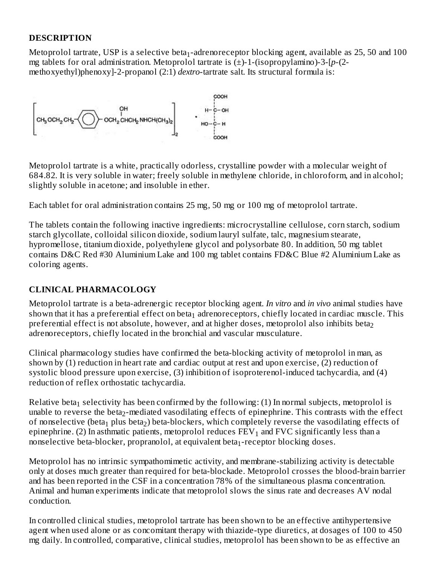# **DESCRIPTION**

Metoprolol tartrate, USP is a selective beta $_1$ -adrenoreceptor blocking agent, available as 25, 50 and 100  $\,$ mg tablets for oral administration. Metoprolol tartrate is (±)-1-(isopropylamino)-3-[*p*-(2 methoxyethyl)phenoxy]-2-propanol (2:1) *dextro*-tartrate salt. Its structural formula is:



Metoprolol tartrate is a white, practically odorless, crystalline powder with a molecular weight of 684.82. It is very soluble in water; freely soluble in methylene chloride, in chloroform, and in alcohol; slightly soluble in acetone; and insoluble in ether.

Each tablet for oral administration contains 25 mg, 50 mg or 100 mg of metoprolol tartrate.

The tablets contain the following inactive ingredients: microcrystalline cellulose, corn starch, sodium starch glycollate, colloidal silicon dioxide, sodium lauryl sulfate, talc, magnesium stearate, hypromellose, titanium dioxide, polyethylene glycol and polysorbate 80. In addition, 50 mg tablet contains D&C Red #30 Aluminium Lake and 100 mg tablet contains FD&C Blue #2 Aluminium Lake as coloring agents.

# **CLINICAL PHARMACOLOGY**

Metoprolol tartrate is a beta-adrenergic receptor blocking agent. *In vitro* and *in vivo* animal studies have shown that it has a preferential effect on beta $_1$  adrenoreceptors, chiefly located in cardiac muscle. This preferential effect is not absolute, however, and at higher doses, metoprolol also inhibits beta $_{\rm 2}$ adrenoreceptors, chiefly located in the bronchial and vascular musculature.

Clinical pharmacology studies have confirmed the beta-blocking activity of metoprolol in man, as shown by (1) reduction in heart rate and cardiac output at rest and upon exercise, (2) reduction of systolic blood pressure upon exercise, (3) inhibition of isoproterenol-induced tachycardia, and (4) reduction of reflex orthostatic tachycardia.

Relative beta $_1$  selectivity has been confirmed by the following: (1) In normal subjects, metoprolol is unable to reverse the beta $_2$ -mediated vasodilating effects of epinephrine. This contrasts with the effect of nonselective (beta $_{\rm 1}$  plus beta $_{\rm 2}$ ) beta-blockers, which completely reverse the vasodilating effects of epinephrine. (2) In asthmatic patients, metoprolol reduces  $\text{FEV}_1$  and  $\text{FVC}$  significantly less than a nonselective beta-blocker, propranolol, at equivalent beta<sub>1</sub>-receptor blocking doses.

Metoprolol has no intrinsic sympathomimetic activity, and membrane-stabilizing activity is detectable only at doses much greater than required for beta-blockade. Metoprolol crosses the blood-brain barrier and has been reported in the CSF in a concentration 78% of the simultaneous plasma concentration. Animal and human experiments indicate that metoprolol slows the sinus rate and decreases AV nodal conduction.

In controlled clinical studies, metoprolol tartrate has been shown to be an effective antihypertensive agent when used alone or as concomitant therapy with thiazide-type diuretics, at dosages of 100 to 450 mg daily. In controlled, comparative, clinical studies, metoprolol has been shown to be as effective an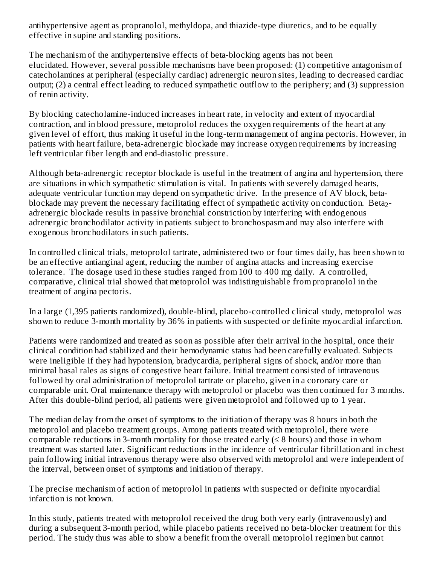antihypertensive agent as propranolol, methyldopa, and thiazide-type diuretics, and to be equally effective in supine and standing positions.

The mechanism of the antihypertensive effects of beta-blocking agents has not been elucidated. However, several possible mechanisms have been proposed: (1) competitive antagonism of catecholamines at peripheral (especially cardiac) adrenergic neuron sites, leading to decreased cardiac output; (2) a central effect leading to reduced sympathetic outflow to the periphery; and (3) suppression of renin activity.

By blocking catecholamine-induced increases in heart rate, in velocity and extent of myocardial contraction, and in blood pressure, metoprolol reduces the oxygen requirements of the heart at any given level of effort, thus making it useful in the long-term management of angina pectoris. However, in patients with heart failure, beta-adrenergic blockade may increase oxygen requirements by increasing left ventricular fiber length and end-diastolic pressure.

Although beta-adrenergic receptor blockade is useful in the treatment of angina and hypertension, there are situations in which sympathetic stimulation is vital. In patients with severely damaged hearts, adequate ventricular function may depend on sympathetic drive. In the presence of AV block, betablockade may prevent the necessary facilitating effect of sympathetic activity on conduction. Beta<sub>2</sub>adrenergic blockade results in passive bronchial constriction by interfering with endogenous adrenergic bronchodilator activity in patients subject to bronchospasm and may also interfere with exogenous bronchodilators in such patients.

In controlled clinical trials, metoprolol tartrate, administered two or four times daily, has been shown to be an effective antianginal agent, reducing the number of angina attacks and increasing exercise tolerance. The dosage used in these studies ranged from 100 to 400 mg daily. A controlled, comparative, clinical trial showed that metoprolol was indistinguishable from propranolol in the treatment of angina pectoris.

In a large (1,395 patients randomized), double-blind, placebo-controlled clinical study, metoprolol was shown to reduce 3-month mortality by 36% in patients with suspected or definite myocardial infarction.

Patients were randomized and treated as soon as possible after their arrival in the hospital, once their clinical condition had stabilized and their hemodynamic status had been carefully evaluated. Subjects were ineligible if they had hypotension, bradycardia, peripheral signs of shock, and/or more than minimal basal rales as signs of congestive heart failure. Initial treatment consisted of intravenous followed by oral administration of metoprolol tartrate or placebo, given in a coronary care or comparable unit. Oral maintenance therapy with metoprolol or placebo was then continued for 3 months. After this double-blind period, all patients were given metoprolol and followed up to 1 year.

The median delay from the onset of symptoms to the initiation of therapy was 8 hours in both the metoprolol and placebo treatment groups. Among patients treated with metoprolol, there were comparable reductions in 3-month mortality for those treated early  $( \leq 8 \text{ hours})$  and those in whom treatment was started later. Significant reductions in the incidence of ventricular fibrillation and in chest pain following initial intravenous therapy were also observed with metoprolol and were independent of the interval, between onset of symptoms and initiation of therapy.

The precise mechanism of action of metoprolol in patients with suspected or definite myocardial infarction is not known.

In this study, patients treated with metoprolol received the drug both very early (intravenously) and during a subsequent 3-month period, while placebo patients received no beta-blocker treatment for this period. The study thus was able to show a benefit from the overall metoprolol regimen but cannot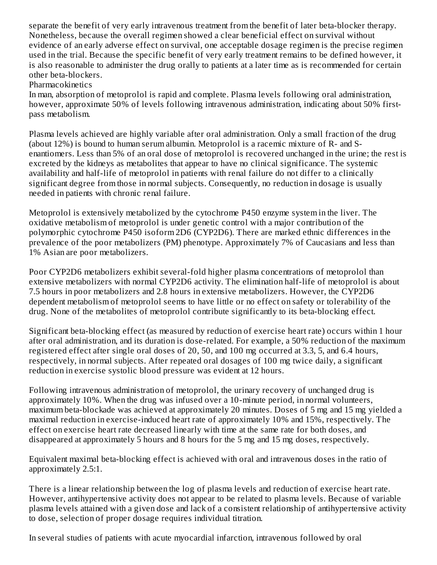separate the benefit of very early intravenous treatment from the benefit of later beta-blocker therapy. Nonetheless, because the overall regimen showed a clear beneficial effect on survival without evidence of an early adverse effect on survival, one acceptable dosage regimen is the precise regimen used in the trial. Because the specific benefit of very early treatment remains to be defined however, it is also reasonable to administer the drug orally to patients at a later time as is recommended for certain other beta-blockers.

Pharmacokinetics

In man, absorption of metoprolol is rapid and complete. Plasma levels following oral administration, however, approximate 50% of levels following intravenous administration, indicating about 50% firstpass metabolism.

Plasma levels achieved are highly variable after oral administration. Only a small fraction of the drug (about 12%) is bound to human serum albumin. Metoprolol is a racemic mixture of R- and Senantiomers. Less than 5% of an oral dose of metoprolol is recovered unchanged in the urine; the rest is excreted by the kidneys as metabolites that appear to have no clinical significance. The systemic availability and half-life of metoprolol in patients with renal failure do not differ to a clinically significant degree from those in normal subjects. Consequently, no reduction in dosage is usually needed in patients with chronic renal failure.

Metoprolol is extensively metabolized by the cytochrome P450 enzyme system in the liver. The oxidative metabolism of metoprolol is under genetic control with a major contribution of the polymorphic cytochrome P450 isoform 2D6 (CYP2D6). There are marked ethnic differences in the prevalence of the poor metabolizers (PM) phenotype. Approximately 7% of Caucasians and less than 1% Asian are poor metabolizers.

Poor CYP2D6 metabolizers exhibit several-fold higher plasma concentrations of metoprolol than extensive metabolizers with normal CYP2D6 activity. The elimination half-life of metoprolol is about 7.5 hours in poor metabolizers and 2.8 hours in extensive metabolizers. However, the CYP2D6 dependent metabolism of metoprolol seems to have little or no effect on safety or tolerability of the drug. None of the metabolites of metoprolol contribute significantly to its beta-blocking effect.

Significant beta-blocking effect (as measured by reduction of exercise heart rate) occurs within 1 hour after oral administration, and its duration is dose-related. For example, a 50% reduction of the maximum registered effect after single oral doses of 20, 50, and 100 mg occurred at 3.3, 5, and 6.4 hours, respectively, in normal subjects. After repeated oral dosages of 100 mg twice daily, a significant reduction in exercise systolic blood pressure was evident at 12 hours.

Following intravenous administration of metoprolol, the urinary recovery of unchanged drug is approximately 10%. When the drug was infused over a 10-minute period, in normal volunteers, maximum beta-blockade was achieved at approximately 20 minutes. Doses of 5 mg and 15 mg yielded a maximal reduction in exercise-induced heart rate of approximately 10% and 15%, respectively. The effect on exercise heart rate decreased linearly with time at the same rate for both doses, and disappeared at approximately 5 hours and 8 hours for the 5 mg and 15 mg doses, respectively.

Equivalent maximal beta-blocking effect is achieved with oral and intravenous doses in the ratio of approximately 2.5:1.

There is a linear relationship between the log of plasma levels and reduction of exercise heart rate. However, antihypertensive activity does not appear to be related to plasma levels. Because of variable plasma levels attained with a given dose and lack of a consistent relationship of antihypertensive activity to dose, selection of proper dosage requires individual titration.

In several studies of patients with acute myocardial infarction, intravenous followed by oral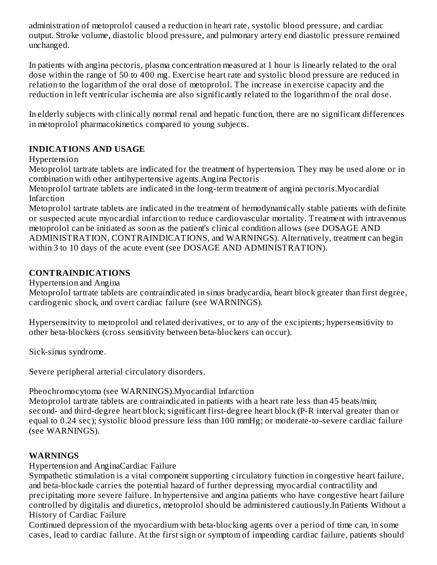administration of metoprolol caused a reduction in heart rate, systolic blood pressure, and cardiac output. Stroke volume, diastolic blood pressure, and pulmonary artery end diastolic pressure remained unchanged.

In patients with angina pectoris, plasma concentration measured at 1 hour is linearly related to the oral dose within the range of 50 to 400 mg. Exercise heart rate and systolic blood pressure are reduced in relation to the logarithm of the oral dose of metoprolol. The increase in exercise capacity and the reduction in left ventricular ischemia are also significantly related to the logarithm of the oral dose.

In elderly subjects with clinically normal renal and hepatic function, there are no significant differences in metoprolol pharmacokinetics compared to young subjects.

# **INDICATIONS AND USAGE**

Hypertension

Metoprolol tartrate tablets are indicated for the treatment of hypertension. They may be used alone or in combination with other antihypertensive agents.Angina Pectoris

Metoprolol tartrate tablets are indicated in the long-term treatment of angina pectoris.Myocardial Infarction

Metoprolol tartrate tablets are indicated in the treatment of hemodynamically stable patients with definite or suspected acute myocardial infarction to reduce cardiovascular mortality. Treatment with intravenous metoprolol can be initiated as soon as the patient's clinical condition allows (see DOSAGE AND ADMINISTRATION, CONTRAINDICATIONS, and WARNINGS). Alternatively, treatment can begin within 3 to 10 days of the acute event (see DOSAGE AND ADMINISTRATION).

# **CONTRAINDICATIONS**

Hypertension and Angina

Metoprolol tartrate tablets are contraindicated in sinus bradycardia, heart block greater than first degree, cardiogenic shock, and overt cardiac failure (see WARNINGS).

Hypersensitvity to metoprolol and related derivatives, or to any of the excipients; hypersensitivity to other beta-blockers (cross sensitivity between beta-blockers can occur).

Sick-sinus syndrome.

Severe peripheral arterial circulatory disorders.

# Pheochromocytoma (see WARNINGS).Myocardial Infarction

Metoprolol tartrate tablets are contraindicated in patients with a heart rate less than 45 beats/min; second- and third-degree heart block; significant first-degree heart block (P-R interval greater than or equal to 0.24 sec); systolic blood pressure less than 100 mmHg; or moderate-to-severe cardiac failure (see WARNINGS).

# **WARNINGS**

Hypertension and AnginaCardiac Failure

Sympathetic stimulation is a vital component supporting circulatory function in congestive heart failure, and beta-blockade carries the potential hazard of further depressing myocardial contractility and precipitating more severe failure. In hypertensive and angina patients who have congestive heart failure controlled by digitalis and diuretics, metoprolol should be administered cautiously.In Patients Without a History of Cardiac Failure

Continued depression of the myocardium with beta-blocking agents over a period of time can, in some cases, lead to cardiac failure. At the first sign or symptom of impending cardiac failure, patients should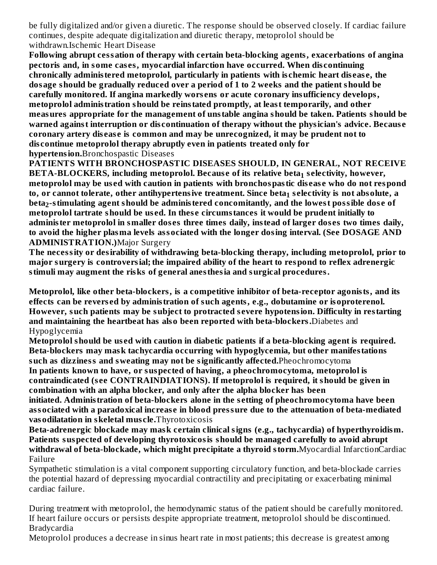be fully digitalized and/or given a diuretic. The response should be observed closely. If cardiac failure continues, despite adequate digitalization and diuretic therapy, metoprolol should be withdrawn.Ischemic Heart Disease

**Following abrupt cessation of therapy with certain beta-blocking agents, exacerbations of angina pectoris and, in some cas es, myocardial infarction have occurred. When dis continuing chronically administered metoprolol, particularly in patients with is chemic heart dis eas e, the dosage should be gradually reduced over a period of 1 to 2 weeks and the patient should be carefully monitored. If angina markedly wors ens or acute coronary insufficiency develops, metoprolol administration should be reinstated promptly, at least temporarily, and other measures appropriate for the management of unstable angina should be taken. Patients should be warned against interruption or dis continuation of therapy without the physician's advice. Becaus e coronary artery dis eas e is common and may be unrecognized, it may be prudent not to dis continue metoprolol therapy abruptly even in patients treated only for hypertension.**Bronchospastic Diseases

**PATIENTS WITH BRONCHOSPASTIC DISEASES SHOULD, IN GENERAL, NOT RECEIVE BETA-BLOCKERS, including metoprolol. Becaus e of its relative beta s electivity, however, 1 metoprolol may be us ed with caution in patients with bronchospastic dis eas e who do not respond to, or cannot tolerate, other antihypertensive treatment. Since beta s electivity is not absolute, a 1 beta -stimulating agent should be administered concomitantly, and the lowest possible dos e of 2metoprolol tartrate should be us ed. In thes e circumstances it would be prudent initially to administer metoprolol in smaller dos es three times daily, instead of larger dos es two times daily, to avoid the higher plasma levels associated with the longer dosing interval. (See DOSAGE AND ADMINISTRATION.)**Major Surgery

**The necessity or desirability of withdrawing beta-blocking therapy, including metoprolol, prior to major surgery is controversial; the impaired ability of the heart to respond to reflex adrenergic stimuli may augment the risks of general anesthesia and surgical procedures.**

**Metoprolol, like other beta-blockers, is a competitive inhibitor of beta-receptor agonists, and its effects can be revers ed by administration of such agents, e.g., dobutamine or isoproterenol. However, such patients may be subject to protracted s evere hypotension. Difficulty in restarting and maintaining the heartbeat has also been reported with beta-blockers.**Diabetes and Hypoglycemia

**Metoprolol should be us ed with caution in diabetic patients if a beta-blocking agent is required. Beta-blockers may mask tachycardia occurring with hypoglycemia, but other manifestations such as dizziness and sweating may not be significantly affected.**Pheochromocytoma **In patients known to have, or suspected of having, a pheochromocytoma, metoprolol is contraindicated (s ee CONTRAINDIATIONS). If metoprolol is required, it should be given in combination with an alpha blocker, and only after the alpha blocker has been initiated. Administration of beta-blockers alone in the s etting of pheochromocytoma have been associated with a paradoxical increas e in blood pressure due to the attenuation of beta-mediated vasodilatation in skeletal mus cle.**Thyrotoxicosis

**Beta-adrenergic blockade may mask certain clinical signs (e.g., tachycardia) of hyperthyroidism. Patients suspected of developing thyrotoxicosis should be managed carefully to avoid abrupt withdrawal of beta-blockade, which might precipitate a thyroid storm.**Myocardial InfarctionCardiac Failure

Sympathetic stimulation is a vital component supporting circulatory function, and beta-blockade carries the potential hazard of depressing myocardial contractility and precipitating or exacerbating minimal cardiac failure.

During treatment with metoprolol, the hemodynamic status of the patient should be carefully monitored. If heart failure occurs or persists despite appropriate treatment, metoprolol should be discontinued. Bradycardia

Metoprolol produces a decrease in sinus heart rate in most patients; this decrease is greatest among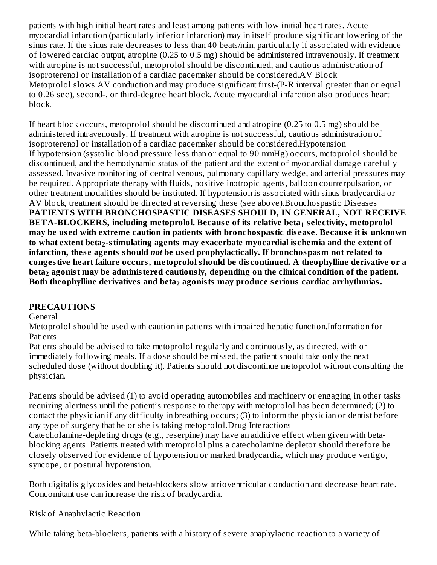patients with high initial heart rates and least among patients with low initial heart rates. Acute myocardial infarction (particularly inferior infarction) may in itself produce significant lowering of the sinus rate. If the sinus rate decreases to less than 40 beats/min, particularly if associated with evidence of lowered cardiac output, atropine (0.25 to 0.5 mg) should be administered intravenously. If treatment with atropine is not successful, metoprolol should be discontinued, and cautious administration of isoproterenol or installation of a cardiac pacemaker should be considered.AV Block Metoprolol slows AV conduction and may produce significant first-(P-R interval greater than or equal to 0.26 sec), second-, or third-degree heart block. Acute myocardial infarction also produces heart block.

If heart block occurs, metoprolol should be discontinued and atropine (0.25 to 0.5 mg) should be administered intravenously. If treatment with atropine is not successful, cautious administration of isoproterenol or installation of a cardiac pacemaker should be considered.Hypotension If hypotension (systolic blood pressure less than or equal to 90 mmHg) occurs, metoprolol should be discontinued, and the hemodynamic status of the patient and the extent of myocardial damage carefully assessed. Invasive monitoring of central venous, pulmonary capillary wedge, and arterial pressures may be required. Appropriate therapy with fluids, positive inotropic agents, balloon counterpulsation, or other treatment modalities should be instituted. If hypotension is associated with sinus bradycardia or AV block, treatment should be directed at reversing these (see above).Bronchospastic Diseases **PATIENTS WITH BRONCHOSPASTIC DISEASES SHOULD, IN GENERAL, NOT RECEIVE BETA-BLOCKERS, including metoprolol. Becaus e of its relative beta s electivity, metoprolol 1** may be used with extreme caution in patients with bronchospastic disease. Because it is unknown **to what extent beta -stimulating agents may exacerbate myocardial is chemia and the extent of 2 infarction, thes e agents should** *not* **be us ed prophylactically. If bronchospasm not related to congestive heart failure occurs, metoprolol should be dis continued. A theophylline derivative or a beta agonist may be administered cautiously, depending on the clinical condition of the patient. 2 Both theophylline derivatives and beta agonists may produce s erious cardiac arrhythmias. 2**

# **PRECAUTIONS**

General

Metoprolol should be used with caution in patients with impaired hepatic function.Information for **Patients** 

Patients should be advised to take metoprolol regularly and continuously, as directed, with or immediately following meals. If a dose should be missed, the patient should take only the next scheduled dose (without doubling it). Patients should not discontinue metoprolol without consulting the physician.

Patients should be advised (1) to avoid operating automobiles and machinery or engaging in other tasks requiring alertness until the patient's response to therapy with metoprolol has been determined; (2) to contact the physician if any difficulty in breathing occurs; (3) to inform the physician or dentist before any type of surgery that he or she is taking metoprolol.Drug Interactions

Catecholamine-depleting drugs (e.g., reserpine) may have an additive effect when given with betablocking agents. Patients treated with metoprolol plus a catecholamine depletor should therefore be closely observed for evidence of hypotension or marked bradycardia, which may produce vertigo, syncope, or postural hypotension.

Both digitalis glycosides and beta-blockers slow atrioventricular conduction and decrease heart rate. Concomitant use can increase the risk of bradycardia.

Risk of Anaphylactic Reaction

While taking beta-blockers, patients with a history of severe anaphylactic reaction to a variety of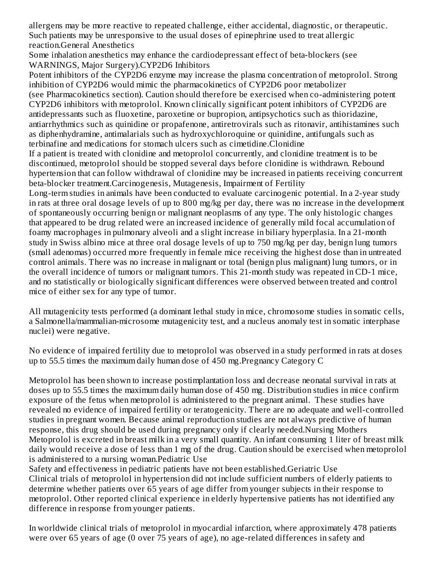allergens may be more reactive to repeated challenge, either accidental, diagnostic, or therapeutic. Such patients may be unresponsive to the usual doses of epinephrine used to treat allergic reaction.General Anesthetics

Some inhalation anesthetics may enhance the cardiodepressant effect of beta-blockers (see WARNINGS, Major Surgery).CYP2D6 Inhibitors

Potent inhibitors of the CYP2D6 enzyme may increase the plasma concentration of metoprolol. Strong inhibition of CYP2D6 would mimic the pharmacokinetics of CYP2D6 poor metabolizer (see Pharmacokinetics section). Caution should therefore be exercised when co-administering potent CYP2D6 inhibitors with metoprolol. Known clinically significant potent inhibitors of CYP2D6 are antidepressants such as fluoxetine, paroxetine or bupropion, antipsychotics such as thioridazine, antiarrhythmics such as quinidine or propafenone, antiretrovirals such as ritonavir, antihistamines such as diphenhydramine, antimalarials such as hydroxychloroquine or quinidine, antifungals such as terbinafine and medications for stomach ulcers such as cimetidine.Clonidine

If a patient is treated with clonidine and metoprolol concurrently, and clonidine treatment is to be discontinued, metoprolol should be stopped several days before clonidine is withdrawn. Rebound hypertension that can follow withdrawal of clonidine may be increased in patients receiving concurrent beta-blocker treatment.Carcinogenesis, Mutagenesis, Impairment of Fertility

Long-term studies in animals have been conducted to evaluate carcinogenic potential. In a 2-year study in rats at three oral dosage levels of up to 800 mg/kg per day, there was no increase in the development of spontaneously occurring benign or malignant neoplasms of any type. The only histologic changes that appeared to be drug related were an increased incidence of generally mild focal accumulation of foamy macrophages in pulmonary alveoli and a slight increase in biliary hyperplasia. In a 21-month study in Swiss albino mice at three oral dosage levels of up to 750 mg/kg per day, benign lung tumors (small adenomas) occurred more frequently in female mice receiving the highest dose than in untreated control animals. There was no increase in malignant or total (benign plus malignant) lung tumors, or in the overall incidence of tumors or malignant tumors. This 21-month study was repeated in CD-1 mice, and no statistically or biologically significant differences were observed between treated and control mice of either sex for any type of tumor.

All mutagenicity tests performed (a dominant lethal study in mice, chromosome studies in somatic cells, a Salmonella/mammalian-microsome mutagenicity test, and a nucleus anomaly test in somatic interphase nuclei) were negative.

No evidence of impaired fertility due to metoprolol was observed in a study performed in rats at doses up to 55.5 times the maximum daily human dose of 450 mg.Pregnancy Category C

Metoprolol has been shown to increase postimplantation loss and decrease neonatal survival in rats at doses up to 55.5 times the maximum daily human dose of 450 mg. Distribution studies in mice confirm exposure of the fetus when metoprolol is administered to the pregnant animal. These studies have revealed no evidence of impaired fertility or teratogenicity. There are no adequate and well-controlled studies in pregnant women. Because animal reproduction studies are not always predictive of human response, this drug should be used during pregnancy only if clearly needed.Nursing Mothers Metoprolol is excreted in breast milk in a very small quantity. An infant consuming 1 liter of breast milk daily would receive a dose of less than 1 mg of the drug. Caution should be exercised when metoprolol is administered to a nursing woman.Pediatric Use

Safety and effectiveness in pediatric patients have not been established.Geriatric Use Clinical trials of metoprolol in hypertension did not include sufficient numbers of elderly patients to determine whether patients over 65 years of age differ from younger subjects in their response to metoprolol. Other reported clinical experience in elderly hypertensive patients has not identified any difference in response from younger patients.

In worldwide clinical trials of metoprolol in myocardial infarction, where approximately 478 patients were over 65 years of age (0 over 75 years of age), no age-related differences in safety and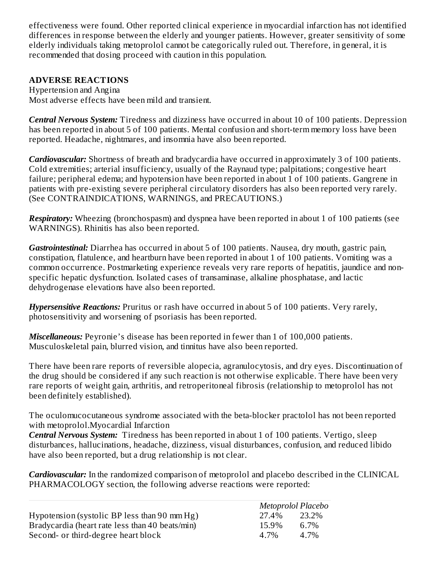effectiveness were found. Other reported clinical experience in myocardial infarction has not identified differences in response between the elderly and younger patients. However, greater sensitivity of some elderly individuals taking metoprolol cannot be categorically ruled out. Therefore, in general, it is recommended that dosing proceed with caution in this population.

# **ADVERSE REACTIONS**

Hypertension and Angina Most adverse effects have been mild and transient.

*Central Nervous System:* Tiredness and dizziness have occurred in about 10 of 100 patients. Depression has been reported in about 5 of 100 patients. Mental confusion and short-term memory loss have been reported. Headache, nightmares, and insomnia have also been reported.

*Cardiovascular:* Shortness of breath and bradycardia have occurred in approximately 3 of 100 patients. Cold extremities; arterial insufficiency, usually of the Raynaud type; palpitations; congestive heart failure; peripheral edema; and hypotension have been reported in about 1 of 100 patients. Gangrene in patients with pre-existing severe peripheral circulatory disorders has also been reported very rarely. (See CONTRAINDICATIONS, WARNINGS, and PRECAUTIONS.)

*Respiratory:* Wheezing (bronchospasm) and dyspnea have been reported in about 1 of 100 patients (see WARNINGS). Rhinitis has also been reported.

*Gastrointestinal:* Diarrhea has occurred in about 5 of 100 patients. Nausea, dry mouth, gastric pain, constipation, flatulence, and heartburn have been reported in about 1 of 100 patients. Vomiting was a common occurrence. Postmarketing experience reveals very rare reports of hepatitis, jaundice and nonspecific hepatic dysfunction. Isolated cases of transaminase, alkaline phosphatase, and lactic dehydrogenase elevations have also been reported.

*Hypersensitive Reactions:* Pruritus or rash have occurred in about 5 of 100 patients. Very rarely, photosensitivity and worsening of psoriasis has been reported.

*Miscellaneous:* Peyronie's disease has been reported in fewer than 1 of 100,000 patients. Musculoskeletal pain, blurred vision, and tinnitus have also been reported.

There have been rare reports of reversible alopecia, agranulocytosis, and dry eyes. Discontinuation of the drug should be considered if any such reaction is not otherwise explicable. There have been very rare reports of weight gain, arthritis, and retroperitoneal fibrosis (relationship to metoprolol has not been definitely established).

The oculomucocutaneous syndrome associated with the beta-blocker practolol has not been reported with metoprolol.Myocardial Infarction

*Central Nervous System:* Tiredness has been reported in about 1 of 100 patients. Vertigo, sleep disturbances, hallucinations, headache, dizziness, visual disturbances, confusion, and reduced libido have also been reported, but a drug relationship is not clear.

*Cardiovascular:* In the randomized comparison of metoprolol and placebo described in the CLINICAL PHARMACOLOGY section, the following adverse reactions were reported:

|                                                 | Metoprolol Placebo |       |  |
|-------------------------------------------------|--------------------|-------|--|
| Hypotension (systolic BP less than 90 mm Hg)    | 27.4%              | 23.2% |  |
| Bradycardia (heart rate less than 40 beats/min) | 15.9%              | 6.7%  |  |
| Second- or third-degree heart block             | 4 7%               | 4.7%  |  |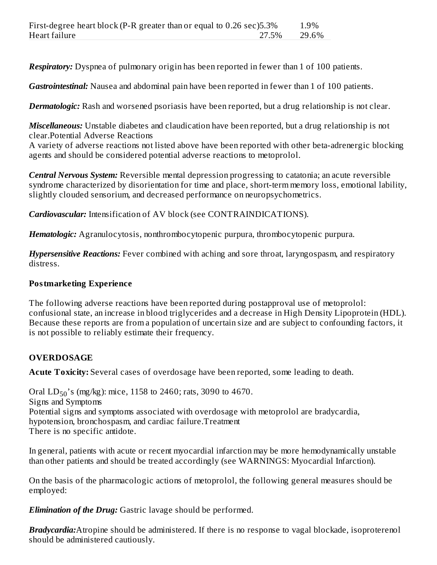*Respiratory:* Dyspnea of pulmonary origin has been reported in fewer than 1 of 100 patients.

*Gastrointestinal:* Nausea and abdominal pain have been reported in fewer than 1 of 100 patients.

*Dermatologic:* Rash and worsened psoriasis have been reported, but a drug relationship is not clear.

*Miscellaneous:* Unstable diabetes and claudication have been reported, but a drug relationship is not clear.Potential Adverse Reactions

A variety of adverse reactions not listed above have been reported with other beta-adrenergic blocking agents and should be considered potential adverse reactions to metoprolol.

*Central Nervous System:* Reversible mental depression progressing to catatonia; an acute reversible syndrome characterized by disorientation for time and place, short-term memory loss, emotional lability, slightly clouded sensorium, and decreased performance on neuropsychometrics.

*Cardiovascular:* Intensification of AV block (see CONTRAINDICATIONS).

*Hematologic:* Agranulocytosis, nonthrombocytopenic purpura, thrombocytopenic purpura.

*Hypersensitive Reactions:* Fever combined with aching and sore throat, laryngospasm, and respiratory distress.

# **Postmarketing Experience**

The following adverse reactions have been reported during postapproval use of metoprolol: confusional state, an increase in blood triglycerides and a decrease in High Density Lipoprotein (HDL). Because these reports are from a population of uncertain size and are subject to confounding factors, it is not possible to reliably estimate their frequency.

# **OVERDOSAGE**

**Acute Toxicity:** Several cases of overdosage have been reported, some leading to death.

Oral  $LD_{50}$ 's (mg/kg): mice, 1158 to 2460; rats, 3090 to 4670. Signs and Symptoms Potential signs and symptoms associated with overdosage with metoprolol are bradycardia, hypotension, bronchospasm, and cardiac failure.Treatment There is no specific antidote.

In general, patients with acute or recent myocardial infarction may be more hemodynamically unstable than other patients and should be treated accordingly (see WARNINGS: Myocardial Infarction).

On the basis of the pharmacologic actions of metoprolol, the following general measures should be employed:

*Elimination of the Drug:* Gastric lavage should be performed.

*Bradycardia:*Atropine should be administered. If there is no response to vagal blockade, isoproterenol should be administered cautiously.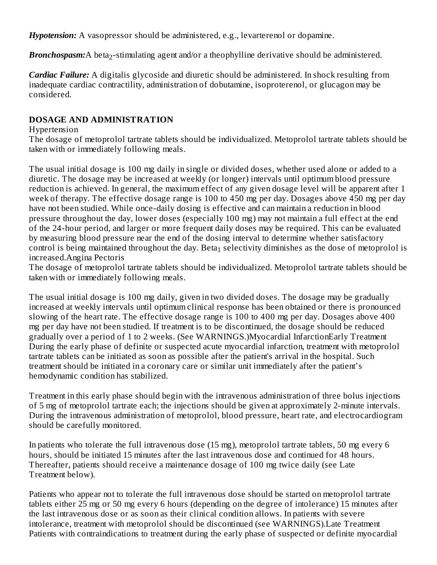*Hypotension:* A vasopressor should be administered, e.g., levarterenol or dopamine.

Bronchospasm:A beta<sub>2</sub>-stimulating agent and/or a theophylline derivative should be administered.

*Cardiac Failure:* A digitalis glycoside and diuretic should be administered. In shock resulting from inadequate cardiac contractility, administration of dobutamine, isoproterenol, or glucagon may be considered.

## **DOSAGE AND ADMINISTRATION**

## Hypertension

The dosage of metoprolol tartrate tablets should be individualized. Metoprolol tartrate tablets should be taken with or immediately following meals.

The usual initial dosage is 100 mg daily in single or divided doses, whether used alone or added to a diuretic. The dosage may be increased at weekly (or longer) intervals until optimum blood pressure reduction is achieved. In general, the maximum effect of any given dosage level will be apparent after 1 week of therapy. The effective dosage range is 100 to 450 mg per day. Dosages above 450 mg per day have not been studied. While once-daily dosing is effective and can maintain a reduction in blood pressure throughout the day, lower doses (especially 100 mg) may not maintain a full effect at the end of the 24-hour period, and larger or more frequent daily doses may be required. This can be evaluated by measuring blood pressure near the end of the dosing interval to determine whether satisfactory control is being maintained throughout the day. Beta $_1$  selectivity diminishes as the dose of metoprolol is increased.Angina Pectoris

The dosage of metoprolol tartrate tablets should be individualized. Metoprolol tartrate tablets should be taken with or immediately following meals.

The usual initial dosage is 100 mg daily, given in two divided doses. The dosage may be gradually increased at weekly intervals until optimum clinical response has been obtained or there is pronounced slowing of the heart rate. The effective dosage range is 100 to 400 mg per day. Dosages above 400 mg per day have not been studied. If treatment is to be discontinued, the dosage should be reduced gradually over a period of 1 to 2 weeks. (See WARNINGS.)Myocardial InfarctionEarly Treatment During the early phase of definite or suspected acute myocardial infarction, treatment with metoprolol tartrate tablets can be initiated as soon as possible after the patient's arrival in the hospital. Such treatment should be initiated in a coronary care or similar unit immediately after the patient's hemodynamic condition has stabilized.

Treatment in this early phase should begin with the intravenous administration of three bolus injections of 5 mg of metoprolol tartrate each; the injections should be given at approximately 2-minute intervals. During the intravenous administration of metoprolol, blood pressure, heart rate, and electrocardiogram should be carefully monitored.

In patients who tolerate the full intravenous dose (15 mg), metoprolol tartrate tablets, 50 mg every 6 hours, should be initiated 15 minutes after the last intravenous dose and continued for 48 hours. Thereafter, patients should receive a maintenance dosage of 100 mg twice daily (see Late Treatment below).

Patients who appear not to tolerate the full intravenous dose should be started on metoprolol tartrate tablets either 25 mg or 50 mg every 6 hours (depending on the degree of intolerance) 15 minutes after the last intravenous dose or as soon as their clinical condition allows. In patients with severe intolerance, treatment with metoprolol should be discontinued (see WARNINGS).Late Treatment Patients with contraindications to treatment during the early phase of suspected or definite myocardial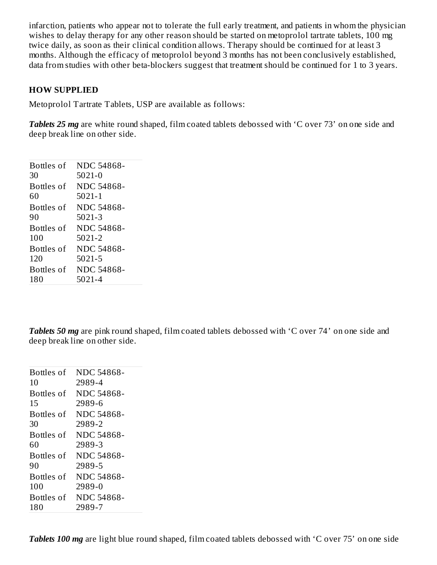infarction, patients who appear not to tolerate the full early treatment, and patients in whom the physician wishes to delay therapy for any other reason should be started on metoprolol tartrate tablets, 100 mg twice daily, as soon as their clinical condition allows. Therapy should be continued for at least 3 months. Although the efficacy of metoprolol beyond 3 months has not been conclusively established, data from studies with other beta-blockers suggest that treatment should be continued for 1 to 3 years.

## **HOW SUPPLIED**

Metoprolol Tartrate Tablets, USP are available as follows:

*Tablets* 25 *mg* are white round shaped, film coated tablets debossed with 'C over 73' on one side and deep break line on other side.

| Bottles of | NDC 54868-        |
|------------|-------------------|
| 30         | $5021 - 0$        |
| Bottles of | NDC 54868-        |
| 60         | $5021 - 1$        |
| Bottles of | NDC 54868-        |
| 90         | 5021-3            |
| Bottles of | <b>NDC 54868-</b> |
| 100        | 5021-2            |
| Bottles of | <b>NDC 54868-</b> |
| 120        | 5021-5            |
| Bottles of | <b>NDC 54868-</b> |
| 180        | 5021-4            |

*Tablets* 50 *mg* are pink round shaped, film coated tablets debossed with 'C over 74' on one side and deep break line on other side.

| Bottles of | NDC 54868- |
|------------|------------|
| 10         | 2989-4     |
| Bottles of | NDC 54868- |
| 15         | 2989-6     |
| Bottles of | NDC 54868- |
| 30         | 2989-2     |
| Bottles of | NDC 54868- |
| 60         | 2989-3     |
| Bottles of | NDC 54868- |
| 90         | 2989-5     |
| Bottles of | NDC 54868- |
| 100        | 2989-0     |
| Bottles of | NDC 54868- |
| 180        | 2989-7     |
|            |            |

*Tablets* 100 *mg* are light blue round shaped, film coated tablets debossed with 'C over 75' on one side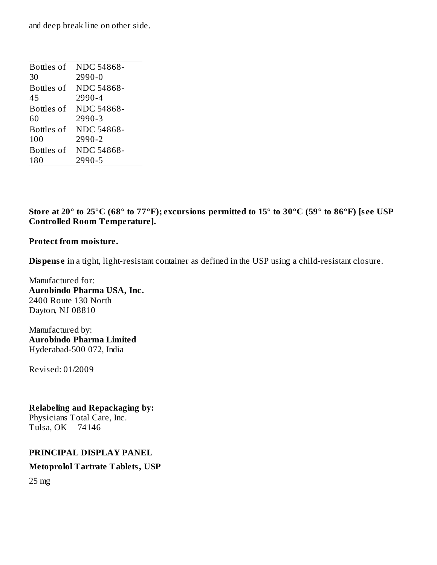and deep break line on other side.

| Bottles of | <b>NDC 54868-</b> |
|------------|-------------------|
| 30         | $2990 - 0$        |
| Bottles of | NDC 54868-        |
| 45         | 2990-4            |
| Bottles of | NDC 54868-        |
| 60         | 2990-3            |
| Bottles of | NDC 54868-        |
| 100        | 2990-2            |
| Bottles of | NDC 54868-        |
| 180        | 2990-5            |

Store at 20° to 25°C (68° to 77°F); excursions permitted to 15° to 30°C (59° to 86°F) [see USP **Controlled Room Temperature].**

## **Protect from moisture.**

**Dispense** in a tight, light-resistant container as defined in the USP using a child-resistant closure.

Manufactured for: **Aurobindo Pharma USA, Inc.** 2400 Route 130 North Dayton, NJ 08810

Manufactured by: **Aurobindo Pharma Limited** Hyderabad-500 072, India

Revised: 01/2009

### **Relabeling and Repackaging by:**

Physicians Total Care, Inc. Tulsa, OK 74146

## **PRINCIPAL DISPLAY PANEL**

## **Metoprolol Tartrate Tablets, USP**

25 mg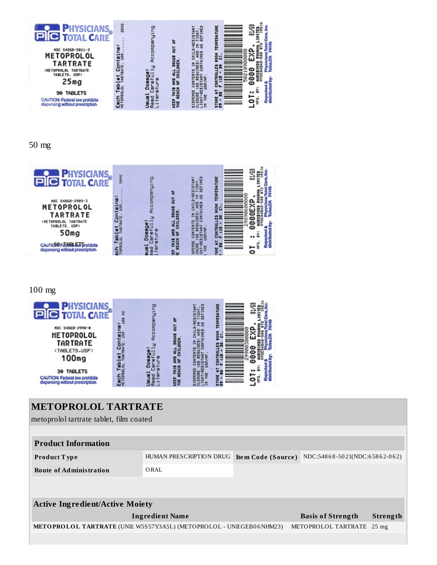

### 50 mg



### 100 mg



# **METOPROLOL TARTRATE** metoprolol tartrate tablet, film coated **Product Information Product T ype** HUMAN PRESCRIPTION DRUG **Ite m Code (Source )** NDC:548 6 8 -50 21(NDC:6 58 6 2-0 6 2) **Route of Administration** ORAL **Active Ingredient/Active Moiety Ingredient Name Basis of Strength Strength METOPROLOL TARTRATE** (UNII: W5S57Y3A5L) (METOPROLOL - UNII:GEB0 6NHM23) METOPROLOL TARTRATE 25 mg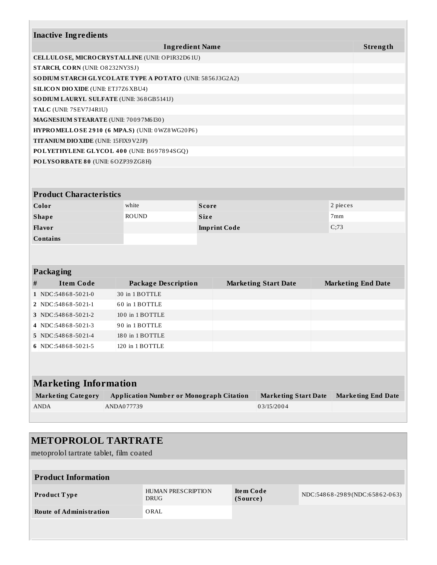|                              | <b>Inactive Ingredients</b>                                                              |                             |                                                          |              |                             |  |                           |  |
|------------------------------|------------------------------------------------------------------------------------------|-----------------------------|----------------------------------------------------------|--------------|-----------------------------|--|---------------------------|--|
|                              |                                                                                          |                             |                                                          |              |                             |  |                           |  |
|                              |                                                                                          |                             | <b>Ingredient Name</b>                                   |              |                             |  | Strength                  |  |
|                              |                                                                                          |                             | CELLULOSE, MICRO CRYSTALLINE (UNII: OP1R32D61U)          |              |                             |  |                           |  |
|                              | STARCH, CORN (UNII: O8232NY3SJ)                                                          |                             |                                                          |              |                             |  |                           |  |
|                              |                                                                                          |                             | SODIUM STARCH GLYCOLATE TYPE A POTATO (UNII: 5856J3G2A2) |              |                             |  |                           |  |
|                              | <b>SILICON DIO XIDE (UNII: ETJ7Z6 XBU4)</b><br>SO DIUM LAURYL SULFATE (UNII: 368GB5141J) |                             |                                                          |              |                             |  |                           |  |
|                              |                                                                                          |                             |                                                          |              |                             |  |                           |  |
|                              | TALC (UNII: 7SEV7J4R1U)<br>MAGNESIUM STEARATE (UNII: 70097M6I30)                         |                             |                                                          |              |                             |  |                           |  |
|                              |                                                                                          |                             | HYPROMELLOSE 2910 (6 MPA.S) (UNII: 0WZ8WG20P6)           |              |                             |  |                           |  |
|                              | TITANIUM DIO XIDE (UNII: 15FIX9V2JP)                                                     |                             |                                                          |              |                             |  |                           |  |
|                              |                                                                                          |                             | POLYETHYLENE GLYCOL 400 (UNII: B697894SGQ)               |              |                             |  |                           |  |
|                              | POLYSORBATE 80 (UNII: 6OZP39ZG8H)                                                        |                             |                                                          |              |                             |  |                           |  |
|                              |                                                                                          |                             |                                                          |              |                             |  |                           |  |
|                              |                                                                                          |                             |                                                          |              |                             |  |                           |  |
|                              | <b>Product Characteristics</b>                                                           |                             |                                                          |              |                             |  |                           |  |
|                              | Color                                                                                    |                             | white                                                    | <b>Score</b> |                             |  | 2 pieces                  |  |
|                              | <b>Shape</b>                                                                             | <b>ROUND</b><br><b>Size</b> |                                                          |              | 7mm                         |  |                           |  |
|                              | Flavor                                                                                   | <b>Imprint Code</b>         |                                                          | C;73         |                             |  |                           |  |
|                              | <b>Contains</b>                                                                          |                             |                                                          |              |                             |  |                           |  |
|                              |                                                                                          |                             |                                                          |              |                             |  |                           |  |
|                              |                                                                                          |                             |                                                          |              |                             |  |                           |  |
|                              | Packaging                                                                                |                             |                                                          |              |                             |  |                           |  |
| #                            | <b>Item Code</b>                                                                         |                             | <b>Package Description</b>                               |              | <b>Marketing Start Date</b> |  | <b>Marketing End Date</b> |  |
|                              | 1 NDC:54868-5021-0                                                                       |                             | 30 in 1 BOTTLE                                           |              |                             |  |                           |  |
|                              | 2 NDC:54868-5021-1                                                                       |                             | 60 in 1 BOTTLE                                           |              |                             |  |                           |  |
|                              | 3 NDC:54868-5021-2                                                                       |                             | 100 in 1 BOTTLE                                          |              |                             |  |                           |  |
| 4                            | NDC:54868-5021-3                                                                         |                             | 90 in 1 BOTTLE                                           |              |                             |  |                           |  |
|                              | 5 NDC:54868-5021-4                                                                       |                             | 180 in 1 BOTTLE                                          |              |                             |  |                           |  |
|                              | 6 NDC:54868-5021-5                                                                       |                             | 120 in 1 BOTTLE                                          |              |                             |  |                           |  |
|                              |                                                                                          |                             |                                                          |              |                             |  |                           |  |
|                              |                                                                                          |                             |                                                          |              |                             |  |                           |  |
|                              |                                                                                          |                             |                                                          |              |                             |  |                           |  |
| <b>Marketing Information</b> |                                                                                          |                             |                                                          |              |                             |  |                           |  |
|                              | <b>Marketing Category</b>                                                                |                             | <b>Application Number or Monograph Citation</b>          |              | <b>Marketing Start Date</b> |  | <b>Marketing End Date</b> |  |
|                              | <b>ANDA</b>                                                                              | ANDA077739                  |                                                          |              | 03/15/2004                  |  |                           |  |
|                              |                                                                                          |                             |                                                          |              |                             |  |                           |  |

## **METOPROLOL TARTRATE** metoprolol tartrate tablet, film coated **Product Information Product T ype** HUMAN PRESCRIPTION DRUG **Ite m Code (Source )** NDC:548 6 8 -29 8 9 (NDC:6 58 6 2-0 6 3) **Route of Administration** ORAL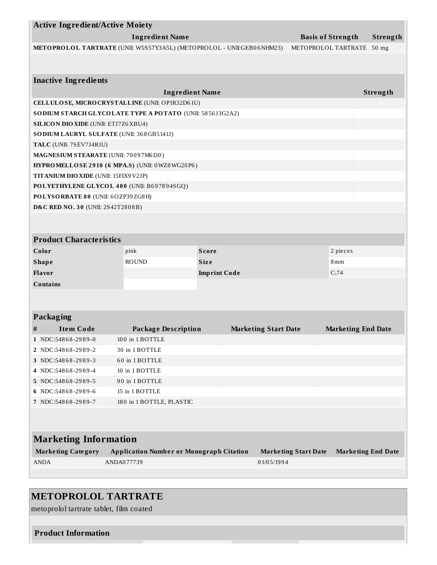| <b>Active Ingredient/Active Moiety</b>                                |                                                 |                             |                             |                           |          |
|-----------------------------------------------------------------------|-------------------------------------------------|-----------------------------|-----------------------------|---------------------------|----------|
| <b>Ingredient Name</b><br><b>Basis of Strength</b>                    |                                                 |                             |                             |                           | Strength |
| METOPROLOL TARTRATE (UNII: W5S57Y3A5L) (METOPROLOL - UNII:GEB06NHM23) |                                                 |                             |                             | METOPROLOL TARTRATE       |          |
|                                                                       |                                                 |                             |                             |                           |          |
|                                                                       |                                                 |                             |                             |                           |          |
| <b>Inactive Ingredients</b>                                           | <b>Ingredient Name</b>                          |                             |                             |                           | Strength |
| CELLULOSE, MICRO CRYSTALLINE (UNII: OP1R32D61U)                       |                                                 |                             |                             |                           |          |
| SODIUM STARCH GLYCOLATE TYPE A POTATO (UNII: 5856J3G2A2)              |                                                 |                             |                             |                           |          |
| <b>SILICON DIO XIDE (UNII: ETJ7Z6 XBU4)</b>                           |                                                 |                             |                             |                           |          |
| SO DIUM LAURYL SULFATE (UNII: 368GB5141J)                             |                                                 |                             |                             |                           |          |
| TALC (UNII: 7SEV7J4R1U)                                               |                                                 |                             |                             |                           |          |
| MAGNESIUM STEARATE (UNII: 70097M6I30)                                 |                                                 |                             |                             |                           |          |
| HYPROMELLOSE 2910 (6 MPA.S) (UNII: 0WZ8WG20P6)                        |                                                 |                             |                             |                           |          |
| TITANIUM DIO XIDE (UNII: 15FIX9V2JP)                                  |                                                 |                             |                             |                           |          |
| POLYETHYLENE GLYCOL 400 (UNII: B697894SGQ)                            |                                                 |                             |                             |                           |          |
| POLYSORBATE 80 (UNII: 6OZP39ZG8H)                                     |                                                 |                             |                             |                           |          |
| <b>D&amp;C RED NO. 30 (UNII: 2S42T2808B)</b>                          |                                                 |                             |                             |                           |          |
|                                                                       |                                                 |                             |                             |                           |          |
|                                                                       |                                                 |                             |                             |                           |          |
| <b>Product Characteristics</b>                                        |                                                 |                             |                             |                           |          |
| Color                                                                 | pink                                            | <b>Score</b>                |                             | 2 pieces                  |          |
| <b>Shape</b>                                                          | <b>ROUND</b>                                    | <b>Size</b>                 |                             | 8mm                       |          |
| Flavor                                                                |                                                 | <b>Imprint Code</b>         |                             | C;74                      |          |
| <b>Contains</b>                                                       |                                                 |                             |                             |                           |          |
|                                                                       |                                                 |                             |                             |                           |          |
|                                                                       |                                                 |                             |                             |                           |          |
| Packaging                                                             |                                                 |                             |                             |                           |          |
| <b>Item Code</b><br>$^{\#}$                                           | <b>Package Description</b>                      | <b>Marketing Start Date</b> |                             | <b>Marketing End Date</b> |          |
| 1 NDC:54868-2989-0                                                    | 100 in 1 BOTTLE                                 |                             |                             |                           |          |
| 2 NDC:54868-2989-2                                                    | 30 in 1 BOTTLE                                  |                             |                             |                           |          |
| 3 NDC:54868-2989-3                                                    | 60 in 1 BOTTLE                                  |                             |                             |                           |          |
| 4 NDC:54868-2989-4                                                    | 10 in 1 BOTTLE                                  |                             |                             |                           |          |
| 5 NDC:54868-2989-5                                                    | 90 in 1 BOTTLE                                  |                             |                             |                           |          |
| 6 NDC:54868-2989-6                                                    | 15 in 1 BOTTLE                                  |                             |                             |                           |          |
| 7 NDC:54868-2989-7                                                    | 180 in 1 BOTTLE, PLASTIC                        |                             |                             |                           |          |
|                                                                       |                                                 |                             |                             |                           |          |
|                                                                       |                                                 |                             |                             |                           |          |
| <b>Marketing Information</b>                                          |                                                 |                             |                             |                           |          |
| <b>Marketing Category</b>                                             | <b>Application Number or Monograph Citation</b> |                             | <b>Marketing Start Date</b> | <b>Marketing End Date</b> |          |
| <b>ANDA</b>                                                           | ANDA077739                                      |                             | 01/05/1994                  |                           |          |
|                                                                       |                                                 |                             |                             |                           |          |
|                                                                       |                                                 |                             |                             |                           |          |

# **METOPROLOL TARTRATE**

metoprolol tartrate tablet, film coated

**Product Information**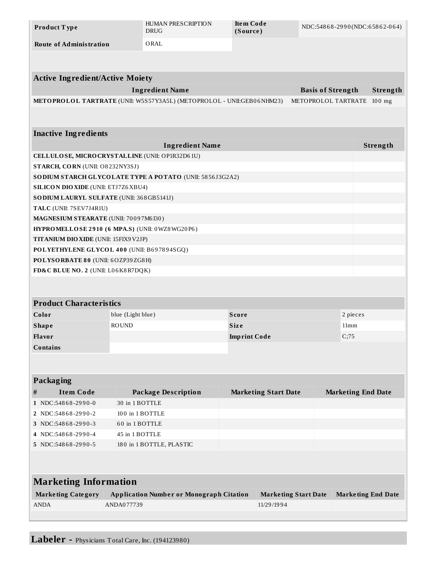| Product Type                   | HUMAN PRESCRIPTION<br><b>DRUG</b> | Item Code<br>(Source) | NDC:54868-2990(NDC:65862-064) |
|--------------------------------|-----------------------------------|-----------------------|-------------------------------|
| <b>Route of Administration</b> | ORAL                              |                       |                               |

| <b>Active Ingredient/Active Moiety</b>             |                                                                       |                     |                             |                             |                           |          |
|----------------------------------------------------|-----------------------------------------------------------------------|---------------------|-----------------------------|-----------------------------|---------------------------|----------|
| <b>Ingredient Name</b><br><b>Basis of Strength</b> |                                                                       |                     |                             |                             |                           | Strength |
|                                                    | METOPROLOL TARTRATE (UNII: W5S57Y3A5L) (METOPROLOL - UNII:GEB06NHM23) |                     |                             | METOPROLOL TARTRATE         |                           | $100$ mg |
|                                                    |                                                                       |                     |                             |                             |                           |          |
| <b>Inactive Ingredients</b>                        |                                                                       |                     |                             |                             |                           |          |
|                                                    | <b>Ingredient Name</b>                                                |                     |                             |                             |                           | Strength |
|                                                    | CELLULOSE, MICRO CRYSTALLINE (UNII: OP1R32D61U)                       |                     |                             |                             |                           |          |
| STARCH, CORN (UNII: O8232NY3SJ)                    |                                                                       |                     |                             |                             |                           |          |
|                                                    | SODIUM STARCH GLYCOLATE TYPE A POTATO (UNII: 5856J3G2A2)              |                     |                             |                             |                           |          |
| <b>SILICON DIO XIDE (UNII: ETJ7Z6 XBU4)</b>        |                                                                       |                     |                             |                             |                           |          |
| SO DIUM LAURYL SULFATE (UNII: 368GB5141J)          |                                                                       |                     |                             |                             |                           |          |
| TALC (UNII: 7SEV7J4R1U)                            |                                                                       |                     |                             |                             |                           |          |
| MAGNESIUM STEARATE (UNII: 70097M6I30)              |                                                                       |                     |                             |                             |                           |          |
|                                                    | HYPROMELLOSE 2910 (6 MPA.S) (UNII: 0WZ8WG20P6)                        |                     |                             |                             |                           |          |
| <b>TITANIUM DIO XIDE (UNII: 15FIX9V2JP)</b>        |                                                                       |                     |                             |                             |                           |          |
|                                                    | POLYETHYLENE GLYCOL 400 (UNII: B697894SGQ)                            |                     |                             |                             |                           |          |
| POLYSORBATE 80 (UNII: 6OZP39ZG8H)                  |                                                                       |                     |                             |                             |                           |          |
| FD&C BLUE NO. 2 (UNII: L06K8R7DQK)                 |                                                                       |                     |                             |                             |                           |          |
|                                                    |                                                                       |                     |                             |                             |                           |          |
|                                                    |                                                                       |                     |                             |                             |                           |          |
| <b>Product Characteristics</b>                     |                                                                       |                     |                             |                             |                           |          |
| Color                                              | blue (Light blue)                                                     | <b>Score</b>        |                             |                             | 2 pieces                  |          |
| <b>Shape</b>                                       | <b>ROUND</b>                                                          | <b>Size</b>         |                             |                             | 11mm                      |          |
| Flavor                                             |                                                                       | <b>Imprint Code</b> |                             | C;75                        |                           |          |
| <b>Contains</b>                                    |                                                                       |                     |                             |                             |                           |          |
|                                                    |                                                                       |                     |                             |                             |                           |          |
|                                                    |                                                                       |                     |                             |                             |                           |          |
| Packaging                                          |                                                                       |                     |                             |                             |                           |          |
| <b>Item Code</b><br>#                              | <b>Package Description</b>                                            |                     | <b>Marketing Start Date</b> |                             | <b>Marketing End Date</b> |          |
| 1 NDC:54868-2990-0                                 | 30 in 1 BOTTLE                                                        |                     |                             |                             |                           |          |
| 2 NDC:54868-2990-2                                 | 100 in 1 BOTTLE                                                       |                     |                             |                             |                           |          |
| 3 NDC:54868-2990-3                                 | 60 in 1 BOTTLE                                                        |                     |                             |                             |                           |          |
| 4 NDC:54868-2990-4                                 | 45 in 1 BOTTLE                                                        |                     |                             |                             |                           |          |
| 5 NDC:54868-2990-5                                 | 180 in 1 BOTTLE, PLASTIC                                              |                     |                             |                             |                           |          |
|                                                    |                                                                       |                     |                             |                             |                           |          |
|                                                    |                                                                       |                     |                             |                             |                           |          |
| <b>Marketing Information</b>                       |                                                                       |                     |                             |                             |                           |          |
| <b>Marketing Category</b>                          | <b>Application Number or Monograph Citation</b>                       |                     |                             | <b>Marketing Start Date</b> | <b>Marketing End Date</b> |          |
| ANDA                                               | ANDA077739                                                            |                     | 11/29/1994                  |                             |                           |          |
|                                                    |                                                                       |                     |                             |                             |                           |          |